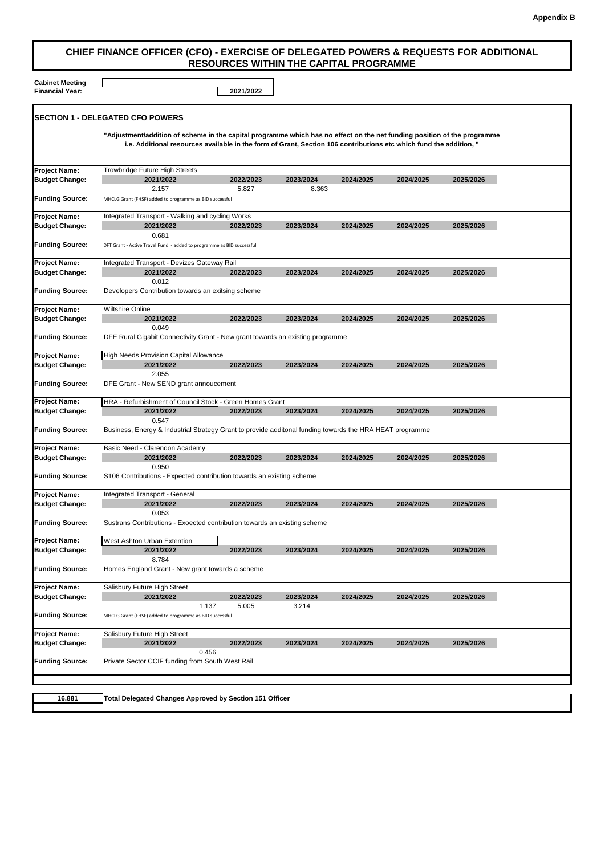## **Appendix B**

## **CHIEF FINANCE OFFICER (CFO) - EXERCISE OF DELEGATED POWERS & REQUESTS FOR ADDITIONAL RESOURCES WITHIN THE CAPITAL PROGRAMME**

**Cabinet Meeting**

| <b>Financial Year:</b>                        |                                                                                                                                                                                                                                                | 2021/2022          |           |           |           |           |  |  |
|-----------------------------------------------|------------------------------------------------------------------------------------------------------------------------------------------------------------------------------------------------------------------------------------------------|--------------------|-----------|-----------|-----------|-----------|--|--|
|                                               | <b>SECTION 1 - DELEGATED CFO POWERS</b>                                                                                                                                                                                                        |                    |           |           |           |           |  |  |
|                                               | "Adjustment/addition of scheme in the capital programme which has no effect on the net funding position of the programme<br>i.e. Additional resources available in the form of Grant, Section 106 contributions etc which fund the addition, " |                    |           |           |           |           |  |  |
| <b>Project Name:</b>                          | Trowbridge Future High Streets                                                                                                                                                                                                                 |                    |           |           |           |           |  |  |
| <b>Budget Change:</b>                         | 2021/2022                                                                                                                                                                                                                                      | 2022/2023          | 2023/2024 | 2024/2025 | 2024/2025 | 2025/2026 |  |  |
| <b>Funding Source:</b>                        | 2.157<br>MHCLG Grant (FHSF) added to programme as BID successful                                                                                                                                                                               | 5.827              | 8.363     |           |           |           |  |  |
| <b>Project Name:</b>                          | Integrated Transport - Walking and cycling Works                                                                                                                                                                                               |                    |           |           |           |           |  |  |
| <b>Budget Change:</b>                         | 2021/2022<br>0.681                                                                                                                                                                                                                             | 2022/2023          | 2023/2024 | 2024/2025 | 2024/2025 | 2025/2026 |  |  |
| <b>Funding Source:</b>                        | DFT Grant - Active Travel Fund - added to programme as BID successful                                                                                                                                                                          |                    |           |           |           |           |  |  |
| <b>Project Name:</b>                          | Integrated Transport - Devizes Gateway Rail                                                                                                                                                                                                    |                    |           |           |           |           |  |  |
| <b>Budget Change:</b>                         | 2021/2022                                                                                                                                                                                                                                      | 2022/2023          | 2023/2024 | 2024/2025 | 2024/2025 | 2025/2026 |  |  |
| <b>Funding Source:</b>                        | 0.012<br>Developers Contribution towards an exitsing scheme                                                                                                                                                                                    |                    |           |           |           |           |  |  |
|                                               | <b>Wiltshire Online</b>                                                                                                                                                                                                                        |                    |           |           |           |           |  |  |
| <b>Project Name:</b><br><b>Budget Change:</b> | 2021/2022                                                                                                                                                                                                                                      | 2022/2023          | 2023/2024 | 2024/2025 | 2024/2025 | 2025/2026 |  |  |
|                                               | 0.049                                                                                                                                                                                                                                          |                    |           |           |           |           |  |  |
| <b>Funding Source:</b>                        | DFE Rural Gigabit Connectivity Grant - New grant towards an existing programme                                                                                                                                                                 |                    |           |           |           |           |  |  |
| <b>Project Name:</b>                          | <b>High Needs Provision Capital Allowance</b>                                                                                                                                                                                                  |                    |           |           |           |           |  |  |
| <b>Budget Change:</b>                         | 2021/2022                                                                                                                                                                                                                                      | 2022/2023          | 2023/2024 | 2024/2025 | 2024/2025 | 2025/2026 |  |  |
| <b>Funding Source:</b>                        | 2.055<br>DFE Grant - New SEND grant annoucement                                                                                                                                                                                                |                    |           |           |           |           |  |  |
| <b>Project Name:</b>                          | HRA - Refurbishment of Council Stock - Green Homes Grant                                                                                                                                                                                       |                    |           |           |           |           |  |  |
| <b>Budget Change:</b>                         | 2021/2022                                                                                                                                                                                                                                      | 2022/2023          | 2023/2024 | 2024/2025 | 2024/2025 | 2025/2026 |  |  |
| <b>Funding Source:</b>                        | 0.547<br>Business, Energy & Industrial Strategy Grant to provide additonal funding towards the HRA HEAT programme                                                                                                                              |                    |           |           |           |           |  |  |
| <b>Project Name:</b>                          | Basic Need - Clarendon Academy                                                                                                                                                                                                                 |                    |           |           |           |           |  |  |
| <b>Budget Change:</b>                         | 2021/2022                                                                                                                                                                                                                                      | 2022/2023          | 2023/2024 | 2024/2025 | 2024/2025 | 2025/2026 |  |  |
|                                               | 0.950                                                                                                                                                                                                                                          |                    |           |           |           |           |  |  |
| <b>Funding Source:</b>                        | S106 Contributions - Expected contribution towards an existing scheme                                                                                                                                                                          |                    |           |           |           |           |  |  |
| <b>Project Name:</b>                          | Integrated Transport - General                                                                                                                                                                                                                 |                    |           |           |           |           |  |  |
| <b>Budget Change:</b>                         | 2021/2022                                                                                                                                                                                                                                      | 2022/2023          | 2023/2024 | 2024/2025 | 2024/2025 | 2025/2026 |  |  |
| <b>Funding Source:</b>                        | 0.053<br>Sustrans Contributions - Exoected contribution towards an existing scheme                                                                                                                                                             |                    |           |           |           |           |  |  |
| <b>Project Name:</b>                          | West Ashton Urban Extention                                                                                                                                                                                                                    |                    |           |           |           |           |  |  |
| <b>Budget Change:</b>                         | 2021/2022                                                                                                                                                                                                                                      | 2022/2023          | 2023/2024 | 2024/2025 | 2024/2025 | 2025/2026 |  |  |
| <b>Funding Source:</b>                        | 8.784<br>Homes England Grant - New grant towards a scheme                                                                                                                                                                                      |                    |           |           |           |           |  |  |
| <b>Project Name:</b>                          |                                                                                                                                                                                                                                                |                    |           |           |           |           |  |  |
| <b>Budget Change:</b>                         | Salisbury Future High Street<br>2021/2022                                                                                                                                                                                                      | 2022/2023          | 2023/2024 | 2024/2025 | 2024/2025 | 2025/2026 |  |  |
|                                               |                                                                                                                                                                                                                                                | 1.137<br>5.005     | 3.214     |           |           |           |  |  |
| <b>Funding Source:</b>                        | MHCLG Grant (FHSF) added to programme as BID successful                                                                                                                                                                                        |                    |           |           |           |           |  |  |
| <b>Project Name:</b>                          | Salisbury Future High Street                                                                                                                                                                                                                   |                    |           |           |           |           |  |  |
| <b>Budget Change:</b>                         | 2021/2022                                                                                                                                                                                                                                      | 2022/2023<br>0.456 | 2023/2024 | 2024/2025 | 2024/2025 | 2025/2026 |  |  |
| <b>Funding Source:</b>                        | Private Sector CCIF funding from South West Rail                                                                                                                                                                                               |                    |           |           |           |           |  |  |
|                                               |                                                                                                                                                                                                                                                |                    |           |           |           |           |  |  |
|                                               |                                                                                                                                                                                                                                                |                    |           |           |           |           |  |  |
| 16.881                                        | <b>Total Delegated Changes Approved by Section 151 Officer</b>                                                                                                                                                                                 |                    |           |           |           |           |  |  |
|                                               |                                                                                                                                                                                                                                                |                    |           |           |           |           |  |  |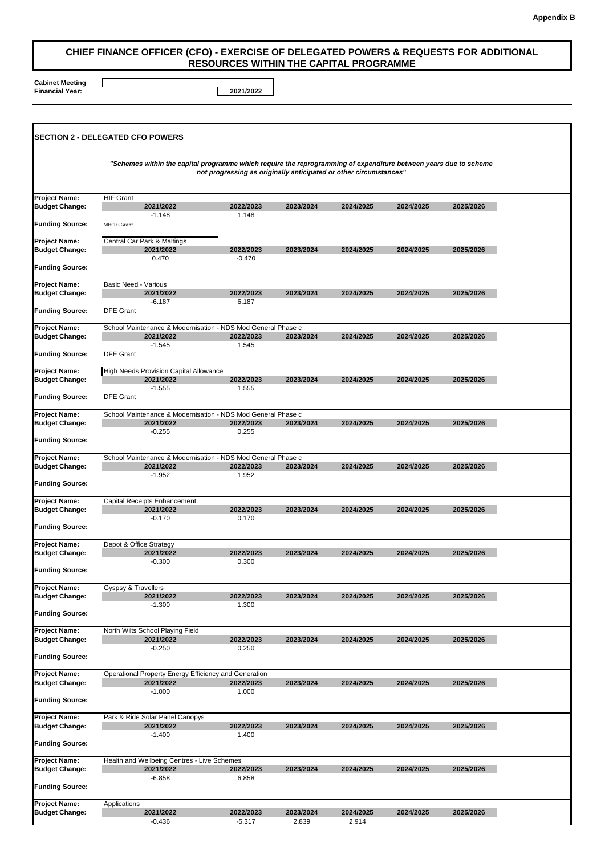## **CHIEF FINANCE OFFICER (CFO) - EXERCISE OF DELEGATED POWERS & REQUESTS FOR ADDITIONAL RESOURCES WITHIN THE CAPITAL PROGRAMME**

**Cabinet Meeting Financial Year: 2021/2022**

| <b>ISECTION 2 - DELEGATED CFO POWERS</b>      |                                                                                                                  |                                                                   |           |           |           |           |  |
|-----------------------------------------------|------------------------------------------------------------------------------------------------------------------|-------------------------------------------------------------------|-----------|-----------|-----------|-----------|--|
|                                               | "Schemes within the capital programme which require the reprogramming of expenditure between years due to scheme | not progressing as originally anticipated or other circumstances" |           |           |           |           |  |
| <b>Project Name:</b>                          | <b>HIF Grant</b>                                                                                                 |                                                                   |           |           |           |           |  |
| <b>Budget Change:</b>                         | 2021/2022<br>$-1.148$                                                                                            | 2022/2023<br>1.148                                                | 2023/2024 | 2024/2025 | 2024/2025 | 2025/2026 |  |
| <b>Funding Source:</b>                        | MHCLG Grant                                                                                                      |                                                                   |           |           |           |           |  |
| <b>Project Name:</b><br><b>Budget Change:</b> | Central Car Park & Maltings<br>2021/2022                                                                         | 2022/2023                                                         | 2023/2024 | 2024/2025 | 2024/2025 | 2025/2026 |  |
| <b>Funding Source:</b>                        | 0.470                                                                                                            | $-0.470$                                                          |           |           |           |           |  |
|                                               |                                                                                                                  |                                                                   |           |           |           |           |  |
| <b>Project Name:</b><br><b>Budget Change:</b> | <b>Basic Need - Various</b><br>2021/2022                                                                         | 2022/2023                                                         | 2023/2024 | 2024/2025 | 2024/2025 | 2025/2026 |  |
| <b>Funding Source:</b>                        | $-6.187$<br><b>DFE Grant</b>                                                                                     | 6.187                                                             |           |           |           |           |  |
|                                               |                                                                                                                  |                                                                   |           |           |           |           |  |
| <b>Project Name:</b><br><b>Budget Change:</b> | School Maintenance & Modernisation - NDS Mod General Phase c<br>2021/2022                                        | 2022/2023                                                         | 2023/2024 | 2024/2025 | 2024/2025 | 2025/2026 |  |
|                                               | $-1.545$                                                                                                         | 1.545                                                             |           |           |           |           |  |
| <b>Funding Source:</b>                        | <b>DFE Grant</b>                                                                                                 |                                                                   |           |           |           |           |  |
| <b>Project Name:</b><br><b>Budget Change:</b> | High Needs Provision Capital Allowance<br>2021/2022                                                              | 2022/2023                                                         | 2023/2024 | 2024/2025 | 2024/2025 | 2025/2026 |  |
|                                               | $-1.555$                                                                                                         | 1.555                                                             |           |           |           |           |  |
| <b>Funding Source:</b>                        | <b>DFE Grant</b>                                                                                                 |                                                                   |           |           |           |           |  |
| <b>Project Name:</b><br><b>Budget Change:</b> | School Maintenance & Modernisation - NDS Mod General Phase c<br>2021/2022                                        | 2022/2023                                                         | 2023/2024 | 2024/2025 | 2024/2025 | 2025/2026 |  |
|                                               | $-0.255$                                                                                                         | 0.255                                                             |           |           |           |           |  |
| <b>Funding Source:</b>                        |                                                                                                                  |                                                                   |           |           |           |           |  |
| <b>Project Name:</b>                          | School Maintenance & Modernisation - NDS Mod General Phase c                                                     |                                                                   |           |           |           |           |  |
| <b>Budget Change:</b>                         | 2021/2022<br>$-1.952$                                                                                            | 2022/2023<br>1.952                                                | 2023/2024 | 2024/2025 | 2024/2025 | 2025/2026 |  |
| <b>Funding Source:</b>                        |                                                                                                                  |                                                                   |           |           |           |           |  |
| <b>Project Name:</b>                          | Capital Receipts Enhancement                                                                                     |                                                                   |           |           |           |           |  |
| <b>Budget Change:</b>                         | 2021/2022<br>$-0.170$                                                                                            | 2022/2023<br>0.170                                                | 2023/2024 | 2024/2025 | 2024/2025 | 2025/2026 |  |
| <b>Funding Source:</b>                        |                                                                                                                  |                                                                   |           |           |           |           |  |
| <b>Project Name:</b>                          | Depot & Office Strategy                                                                                          |                                                                   |           |           |           |           |  |
| <b>Budget Change:</b>                         | 2021/2022<br>$-0.300$                                                                                            | 2022/2023<br>0.300                                                | 2023/2024 | 2024/2025 | 2024/2025 | 2025/2026 |  |
| <b>Funding Source:</b>                        |                                                                                                                  |                                                                   |           |           |           |           |  |
| <b>Project Name:</b>                          | Gyspsy & Travellers                                                                                              |                                                                   |           |           |           |           |  |
| <b>Budget Change:</b>                         | 2021/2022                                                                                                        | 2022/2023                                                         | 2023/2024 | 2024/2025 | 2024/2025 | 2025/2026 |  |
| <b>Funding Source:</b>                        | $-1.300$                                                                                                         | 1.300                                                             |           |           |           |           |  |
| <b>Project Name:</b>                          | North Wilts School Playing Field                                                                                 |                                                                   |           |           |           |           |  |
| <b>Budget Change:</b>                         | 2021/2022                                                                                                        | 2022/2023                                                         | 2023/2024 | 2024/2025 | 2024/2025 | 2025/2026 |  |
| <b>Funding Source:</b>                        | $-0.250$                                                                                                         | 0.250                                                             |           |           |           |           |  |
| <b>Project Name:</b>                          | Operational Property Energy Efficiency and Generation                                                            |                                                                   |           |           |           |           |  |
| <b>Budget Change:</b>                         | 2021/2022                                                                                                        | 2022/2023                                                         | 2023/2024 | 2024/2025 | 2024/2025 | 2025/2026 |  |
| <b>Funding Source:</b>                        | $-1.000$                                                                                                         | 1.000                                                             |           |           |           |           |  |
| <b>Project Name:</b>                          | Park & Ride Solar Panel Canopys                                                                                  |                                                                   |           |           |           |           |  |
| <b>Budget Change:</b>                         | 2021/2022                                                                                                        | 2022/2023                                                         | 2023/2024 | 2024/2025 | 2024/2025 | 2025/2026 |  |
| <b>Funding Source:</b>                        | $-1.400$                                                                                                         | 1.400                                                             |           |           |           |           |  |
| <b>Project Name:</b>                          | Health and Wellbeing Centres - Live Schemes                                                                      |                                                                   |           |           |           |           |  |
| <b>Budget Change:</b>                         | 2021/2022<br>$-6.858$                                                                                            | 2022/2023<br>6.858                                                | 2023/2024 | 2024/2025 | 2024/2025 | 2025/2026 |  |
| <b>Funding Source:</b>                        |                                                                                                                  |                                                                   |           |           |           |           |  |
| <b>Project Name:</b>                          | Applications                                                                                                     |                                                                   |           |           |           |           |  |
| <b>Budget Change:</b>                         | 2021/2022                                                                                                        | 2022/2023                                                         | 2023/2024 | 2024/2025 | 2024/2025 | 2025/2026 |  |
|                                               | $-0.436$                                                                                                         | -5.317                                                            | 2.839     | 2.914     |           |           |  |